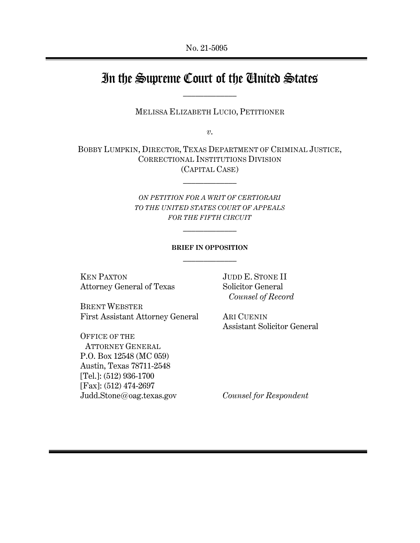# In the Supreme Court of the United States  $\mathcal{L}_\text{max}$

MELISSA ELIZABETH LUCIO, PETITIONER

*v*.

BOBBY LUMPKIN, DIRECTOR, TEXAS DEPARTMENT OF CRIMINAL JUSTICE, CORRECTIONAL INSTITUTIONS DIVISION (CAPITAL CASE)

 $\mathcal{L}_\text{max}$ 

*ON PETITION FOR A WRIT OF CERTIORARI TO THE UNITED STATES COURT OF APPEALS FOR THE FIFTH CIRCUIT*

 $\frac{1}{2}$ 

## **BRIEF IN OPPOSITION**  $\frac{1}{2}$

KEN PAXTON Attorney General of Texas

BRENT WEBSTER First Assistant Attorney General

OFFICE OF THE ATTORNEY GENERAL P.O. Box 12548 (MC 059) Austin, Texas 78711-2548 [Tel.]: (512) 936-1700 [Fax]: (512) 474-2697 Judd.Stone@oag.texas.gov JUDD E. STONE II Solicitor General *Counsel of Record*

ARI CUENIN Assistant Solicitor General

*Counsel for Respondent*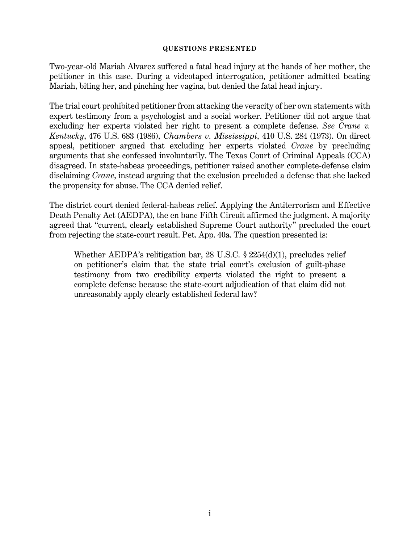### <span id="page-1-1"></span>**QUESTIONS PRESENTED**

<span id="page-1-0"></span>Two-year-old Mariah Alvarez suffered a fatal head injury at the hands of her mother, the petitioner in this case. During a videotaped interrogation, petitioner admitted beating Mariah, biting her, and pinching her vagina, but denied the fatal head injury.

The trial court prohibited petitioner from attacking the veracity of her own statements with expert testimony from a psychologist and a social worker. Petitioner did not argue that excluding her experts violated her right to present a complete defense. *See Crane v. Kentucky*, 476 U.S. 683 (1986), *Chambers v. Mississippi*, 410 U.S. 284 (1973). On direct appeal, petitioner argued that excluding her experts violated *Crane* by precluding arguments that she confessed involuntarily. The Texas Court of Criminal Appeals (CCA) disagreed. In state-habeas proceedings, petitioner raised another complete-defense claim disclaiming *Crane*, instead arguing that the exclusion precluded a defense that she lacked the propensity for abuse. The CCA denied relief.

The district court denied federal-habeas relief. Applying the Antiterrorism and Effective Death Penalty Act (AEDPA), the en banc Fifth Circuit affirmed the judgment. A majority agreed that "current, clearly established Supreme Court authority" precluded the court from rejecting the state-court result. Pet. App. 40a. The question presented is:

Whether AEDPA's relitigation bar, 28 U.S.C. § 2254(d)(1), precludes relief on petitioner's claim that the state trial court's exclusion of guilt-phase testimony from two credibility experts violated the right to present a complete defense because the state-court adjudication of that claim did not unreasonably apply clearly established federal law?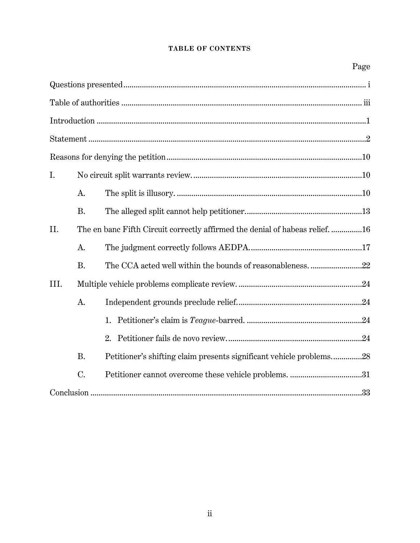# **TABLE OF CONTENTS**

| I.                                                                                  |
|-------------------------------------------------------------------------------------|
| A.                                                                                  |
| <b>B.</b>                                                                           |
| The en banc Fifth Circuit correctly affirmed the denial of habeas relief. 16<br>II. |
| А.                                                                                  |
| <b>B.</b>                                                                           |
| III.                                                                                |
| A.                                                                                  |
|                                                                                     |
|                                                                                     |
| <b>B.</b><br>Petitioner's shifting claim presents significant vehicle problems28    |
| C.                                                                                  |
|                                                                                     |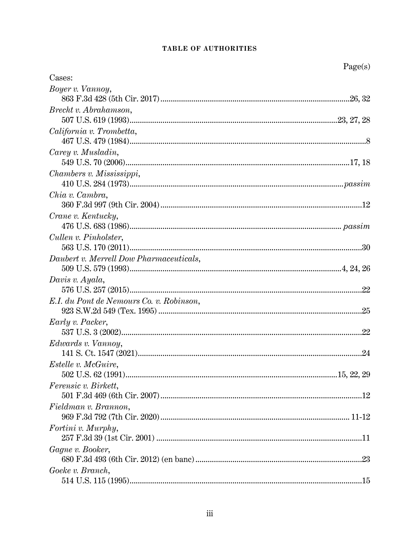## TABLE OF AUTHORITIES

<span id="page-3-0"></span>

|                                          | Page(s) |
|------------------------------------------|---------|
| Cases:                                   |         |
| Boyer v. Vannoy,                         |         |
|                                          |         |
| Brecht v. Abrahamson,                    |         |
|                                          |         |
| California v. Trombetta,                 |         |
| Carey v. Musladin,                       |         |
| Chambers v. Mississippi,                 |         |
|                                          |         |
| Chia v. Cambra,                          |         |
| Crane v. Kentucky,                       |         |
|                                          |         |
| Cullen v. Pinholster,                    |         |
|                                          |         |
| Daubert v. Merrell Dow Pharmaceuticals,  |         |
| Davis v. Ayala,                          |         |
|                                          |         |
| E.I. du Pont de Nemours Co. v. Robinson, |         |
|                                          |         |
| Early v. Packer,                         |         |
|                                          | .22     |
| Edwards v. Vannoy,                       |         |
|                                          | .24     |
| <i>Estelle v. McGuire,</i>               |         |
|                                          |         |
| <i>Ferensic v. Birkett,</i>              |         |
| Fieldman v. Brannon,                     |         |
|                                          |         |
| Fortini v. Murphy,                       |         |
| Gagne v. Booker,                         |         |
|                                          |         |
| Goeke v. Branch,                         |         |
|                                          |         |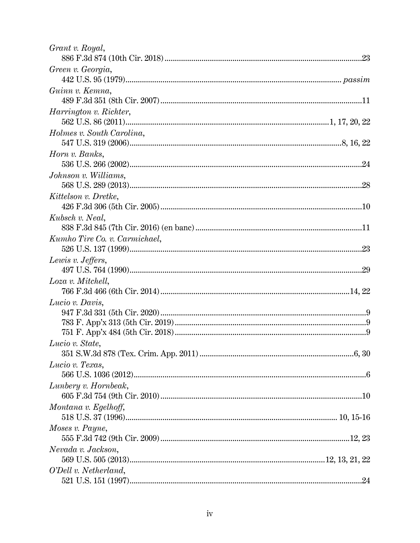| Grant v. Royal,               |  |
|-------------------------------|--|
| Green v. Georgia,             |  |
| Guinn v. Kemna,               |  |
| <i>Harrington v. Richter,</i> |  |
| Holmes v. South Carolina,     |  |
| Horn v. Banks,                |  |
| Johnson v. Williams,          |  |
| Kittelson v. Dretke,          |  |
| Kubsch v. Neal,               |  |
| Kumho Tire Co. v. Carmichael, |  |
| Lewis v. Jeffers,             |  |
| Loza v. Mitchell,             |  |
| Lucio v. Davis,               |  |
| Lucio v. State,               |  |
| Lucio v. Texas,               |  |
| Lunbery v. Hornbeak,          |  |
| Montana v. Egelhoff,          |  |
| Moses v. Payne,               |  |
| Nevada v. Jackson,            |  |
| O'Dell v. Netherland,         |  |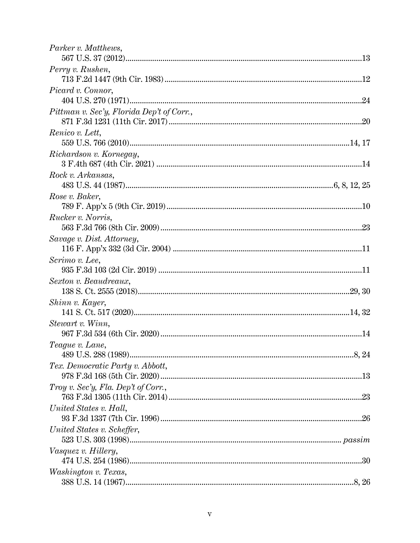| Parker v. Matthews,                       |  |
|-------------------------------------------|--|
| Perry v. Rushen,                          |  |
|                                           |  |
| Picard v. Connor,                         |  |
|                                           |  |
| Pittman v. Sec'y, Florida Dep't of Corr., |  |
| Renico v. Lett,                           |  |
|                                           |  |
| Richardson v. Kornegay,                   |  |
| Rock v. Arkansas,                         |  |
|                                           |  |
| Rose v. Baker,                            |  |
|                                           |  |
| Rucker v. Norris,                         |  |
|                                           |  |
| Savage v. Dist. Attorney,                 |  |
|                                           |  |
| Scrimo v. Lee,                            |  |
|                                           |  |
| Sexton v. Beaudreaux,                     |  |
|                                           |  |
| Shinn v. Kayer,                           |  |
|                                           |  |
| Stewart v. Winn,                          |  |
|                                           |  |
| Teague v. Lane,                           |  |
|                                           |  |
| Tex. Democratic Party v. Abbott,          |  |
|                                           |  |
| Troy v. Sec'y, Fla. Dep't of Corr.,       |  |
|                                           |  |
| United States v. Hall,                    |  |
|                                           |  |
| United States v. Scheffer,                |  |
|                                           |  |
| Vasquez v. Hillery,                       |  |
|                                           |  |
| Washington v. Texas,                      |  |
|                                           |  |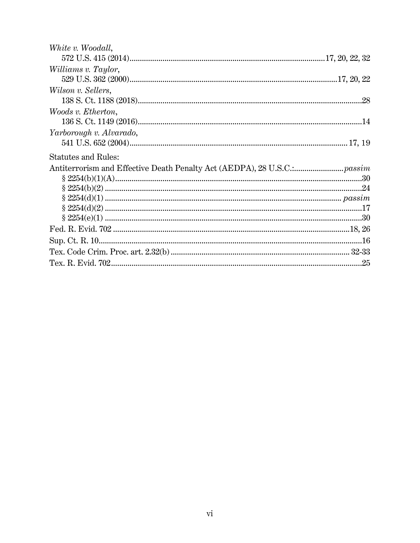| White v. Woodall,          |  |
|----------------------------|--|
|                            |  |
| Williams v. Taylor,        |  |
|                            |  |
| Wilson v. Sellers,         |  |
|                            |  |
| Woods v. Etherton,         |  |
|                            |  |
| Yarborough v. Alvarado,    |  |
|                            |  |
| <b>Statutes and Rules:</b> |  |
|                            |  |
|                            |  |
|                            |  |
|                            |  |
|                            |  |
|                            |  |
|                            |  |
|                            |  |
|                            |  |
|                            |  |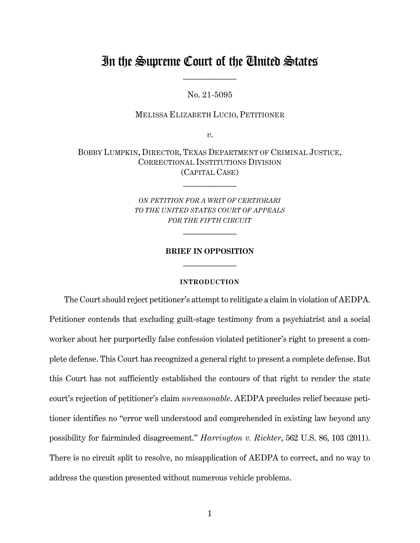# In the Supreme Court of the United States  $\frac{1}{2}$

No. 21-5095

MELISSA ELIZABETH LUCIO, PETITIONER

*v*.

BOBBY LUMPKIN, DIRECTOR, TEXAS DEPARTMENT OF CRIMINAL JUSTICE, CORRECTIONAL INSTITUTIONS DIVISION (CAPITAL CASE)

 $\mathcal{L}_\text{max}$ 

*ON PETITION FOR A WRIT OF CERTIORARI TO THE UNITED STATES COURT OF APPEALS FOR THE FIFTH CIRCUIT* 

 $\frac{1}{2}$ 

# **BRIEF IN OPPOSITION**  $\frac{1}{2}$

#### <span id="page-7-1"></span>**INTRODUCTION**

<span id="page-7-0"></span>The Court should reject petitioner's attempt to relitigate a claim in violation of AEDPA. Petitioner contends that excluding guilt-stage testimony from a psychiatrist and a social worker about her purportedly false confession violated petitioner's right to present a complete defense. This Court has recognized a general right to present a complete defense. But this Court has not sufficiently established the contours of that right to render the state court's rejection of petitioner's claim *unreasonable*. AEDPA precludes relief because petitioner identifies no "error well understood and comprehended in existing law beyond any possibility for fairminded disagreement." *Harrington v. Richter*, 562 U.S. 86, 103 (2011). There is no circuit split to resolve, no misapplication of AEDPA to correct, and no way to address the question presented without numerous vehicle problems.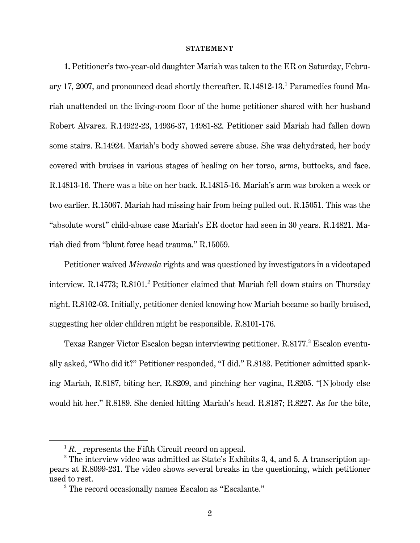#### **STATEMENT**

<span id="page-8-0"></span>**1.** Petitioner's two-year-old daughter Mariah was taken to the ER on Saturday, Febru-ary [1](#page-8-1)7, 2007, and pronounced dead shortly thereafter. R.14812-13.<sup>1</sup> Paramedics found Mariah unattended on the living-room floor of the home petitioner shared with her husband Robert Alvarez. R.14922-23, 14936-37, 14981-82. Petitioner said Mariah had fallen down some stairs. R.14924. Mariah's body showed severe abuse. She was dehydrated, her body covered with bruises in various stages of healing on her torso, arms, buttocks, and face. R.14813-16. There was a bite on her back. R.14815-16. Mariah's arm was broken a week or two earlier. R.15067. Mariah had missing hair from being pulled out. R.15051. This was the "absolute worst" child-abuse case Mariah's ER doctor had seen in 30 years. R.14821. Mariah died from "blunt force head trauma." R.15059.

Petitioner waived *Miranda* rights and was questioned by investigators in a videotaped interview. R.14773; R.8101.<sup>[2](#page-8-2)</sup> Petitioner claimed that Mariah fell down stairs on Thursday night. R.8102-03. Initially, petitioner denied knowing how Mariah became so badly bruised, suggesting her older children might be responsible. R.8101-176.

Texas Ranger Victor Escalon began interviewing petitioner. R.8177.<sup>[3](#page-8-3)</sup> Escalon eventually asked, "Who did it?" Petitioner responded, "I did." R.8183. Petitioner admitted spanking Mariah, R.8187, biting her, R.8209, and pinching her vagina, R.8205. "[N]obody else would hit her." R.8189. She denied hitting Mariah's head. R.8187; R.8227. As for the bite,

 ${}^{1}R$ . represents the Fifth Circuit record on appeal.

<span id="page-8-3"></span><span id="page-8-2"></span><span id="page-8-1"></span> $2$  The interview video was admitted as State's Exhibits 3, 4, and 5. A transcription appears at R.8099-231. The video shows several breaks in the questioning, which petitioner used to rest.

<sup>&</sup>lt;sup>3</sup> The record occasionally names Escalon as "Escalante."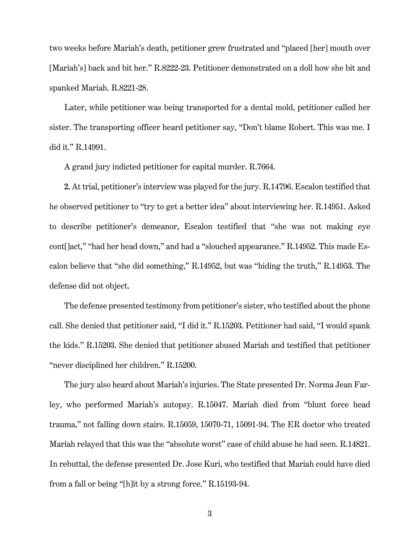two weeks before Mariah's death, petitioner grew frustrated and "placed [her] mouth over [Mariah's] back and bit her." R.8222-23. Petitioner demonstrated on a doll how she bit and spanked Mariah. R.8221-28.

Later, while petitioner was being transported for a dental mold, petitioner called her sister. The transporting officer heard petitioner say, "Don't blame Robert. This was me. I did it." R.14991.

A grand jury indicted petitioner for capital murder. R.7664.

**2.** At trial, petitioner's interview was played for the jury. R.14796. Escalon testified that he observed petitioner to "try to get a better idea" about interviewing her. R.14951. Asked to describe petitioner's demeanor, Escalon testified that "she was not making eye cont[]act," "had her head down," and had a "slouched appearance." R.14952. This made Escalon believe that "she did something," R.14952, but was "hiding the truth," R.14953. The defense did not object.

The defense presented testimony from petitioner's sister, who testified about the phone call. She denied that petitioner said, "I did it." R.15203. Petitioner had said, "I would spank the kids." R.15203. She denied that petitioner abused Mariah and testified that petitioner "never disciplined her children." R.15200.

The jury also heard about Mariah's injuries. The State presented Dr. Norma Jean Farley, who performed Mariah's autopsy. R.15047. Mariah died from "blunt force head trauma," not falling down stairs. R.15059, 15070-71, 15091-94. The ER doctor who treated Mariah relayed that this was the "absolute worst" case of child abuse he had seen. R.14821. In rebuttal, the defense presented Dr. Jose Kuri, who testified that Mariah could have died from a fall or being "[h]it by a strong force." R.15193-94.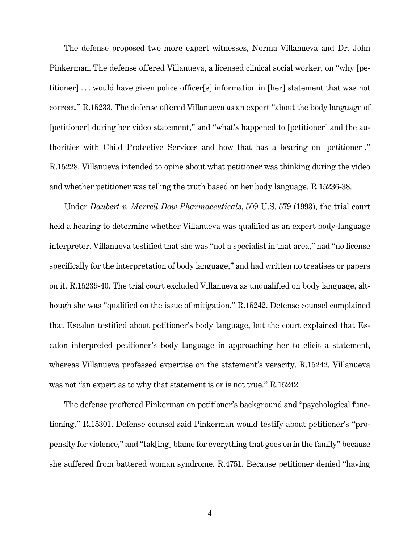The defense proposed two more expert witnesses, Norma Villanueva and Dr. John Pinkerman. The defense offered Villanueva, a licensed clinical social worker, on "why [petitioner] . . . would have given police officer[s] information in [her] statement that was not correct." R.15233. The defense offered Villanueva as an expert "about the body language of [petitioner] during her video statement," and "what's happened to [petitioner] and the authorities with Child Protective Services and how that has a bearing on [petitioner]." R.15228. Villanueva intended to opine about what petitioner was thinking during the video and whether petitioner was telling the truth based on her body language. R.15236-38.

<span id="page-10-0"></span>Under *Daubert v. Merrell Dow Pharmaceuticals*, 509 U.S. 579 (1993), the trial court held a hearing to determine whether Villanueva was qualified as an expert body-language interpreter. Villanueva testified that she was "not a specialist in that area," had "no license specifically for the interpretation of body language," and had written no treatises or papers on it. R.15239-40. The trial court excluded Villanueva as unqualified on body language, although she was "qualified on the issue of mitigation." R.15242. Defense counsel complained that Escalon testified about petitioner's body language, but the court explained that Escalon interpreted petitioner's body language in approaching her to elicit a statement, whereas Villanueva professed expertise on the statement's veracity. R.15242. Villanueva was not "an expert as to why that statement is or is not true." R.15242.

The defense proffered Pinkerman on petitioner's background and "psychological functioning." R.15301. Defense counsel said Pinkerman would testify about petitioner's "propensity for violence," and "tak[ing] blame for everything that goes on in the family" because she suffered from battered woman syndrome. R.4751. Because petitioner denied "having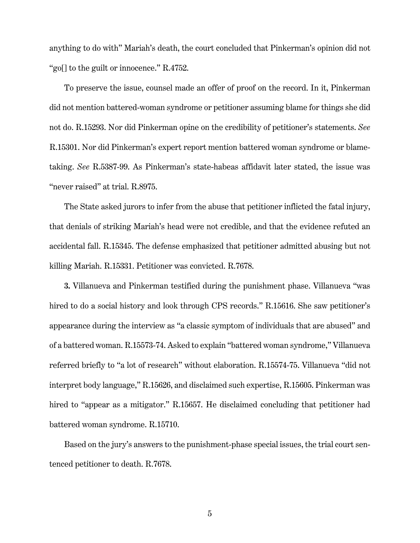anything to do with" Mariah's death, the court concluded that Pinkerman's opinion did not "go<sup>[]</sup> to the guilt or innocence." R.4752.

To preserve the issue, counsel made an offer of proof on the record. In it, Pinkerman did not mention battered-woman syndrome or petitioner assuming blame for things she did not do. R.15293. Nor did Pinkerman opine on the credibility of petitioner's statements. *See* R.15301. Nor did Pinkerman's expert report mention battered woman syndrome or blametaking. *See* R.5387-99. As Pinkerman's state-habeas affidavit later stated, the issue was "never raised" at trial. R.8975.

The State asked jurors to infer from the abuse that petitioner inflicted the fatal injury, that denials of striking Mariah's head were not credible, and that the evidence refuted an accidental fall. R.15345. The defense emphasized that petitioner admitted abusing but not killing Mariah. R.15331. Petitioner was convicted. R.7678.

**3.** Villanueva and Pinkerman testified during the punishment phase. Villanueva "was hired to do a social history and look through CPS records." R.15616. She saw petitioner's appearance during the interview as "a classic symptom of individuals that are abused" and of a battered woman. R.15573-74. Asked to explain "battered woman syndrome," Villanueva referred briefly to "a lot of research" without elaboration. R.15574-75. Villanueva "did not interpret body language," R.15626, and disclaimed such expertise, R.15605. Pinkerman was hired to "appear as a mitigator." R.15657. He disclaimed concluding that petitioner had battered woman syndrome. R.15710.

Based on the jury's answers to the punishment-phase special issues, the trial court sentenced petitioner to death. R.7678.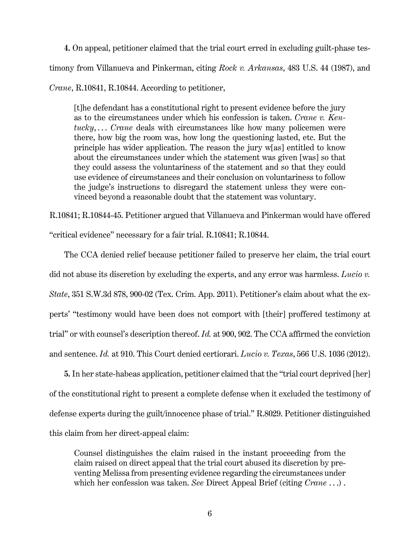**4.** On appeal, petitioner claimed that the trial court erred in excluding guilt-phase testimony from Villanueva and Pinkerman, citing *Rock v. Arkansas*, 483 U.S. 44 (1987), and

*Crane*, R.10841, R.10844. According to petitioner,

<span id="page-12-2"></span>[t]he defendant has a constitutional right to present evidence before the jury as to the circumstances under which his confession is taken. *Crane v. Kentucky*, . . . *Crane* deals with circumstances like how many policemen were there, how big the room was, how long the questioning lasted, etc. But the principle has wider application. The reason the jury w[as] entitled to know about the circumstances under which the statement was given [was] so that they could assess the voluntariness of the statement and so that they could use evidence of circumstances and their conclusion on voluntariness to follow the judge's instructions to disregard the statement unless they were convinced beyond a reasonable doubt that the statement was voluntary.

R.10841; R.10844-45. Petitioner argued that Villanueva and Pinkerman would have offered "critical evidence" necessary for a fair trial. R.10841; R.10844.

<span id="page-12-0"></span>The CCA denied relief because petitioner failed to preserve her claim, the trial court did not abuse its discretion by excluding the experts, and any error was harmless. *Lucio v. State*, 351 S.W.3d 878, 900-02 (Tex. Crim. App. 2011). Petitioner's claim about what the experts' "testimony would have been does not comport with [their] proffered testimony at trial" or with counsel's description thereof. *Id.* at 900, 902. The CCA affirmed the conviction and sentence. *Id.* at 910. This Court denied certiorari. *Lucio v. Texas*, 566 U.S. 1036 (2012).

<span id="page-12-1"></span>**5.** In her state-habeas application, petitioner claimed that the "trial court deprived [her] of the constitutional right to present a complete defense when it excluded the testimony of defense experts during the guilt/innocence phase of trial." R.8029. Petitioner distinguished this claim from her direct-appeal claim:

Counsel distinguishes the claim raised in the instant proceeding from the claim raised on direct appeal that the trial court abused its discretion by preventing Melissa from presenting evidence regarding the circumstances under which her confession was taken. *See* Direct Appeal Brief (citing *Crane* . . .) .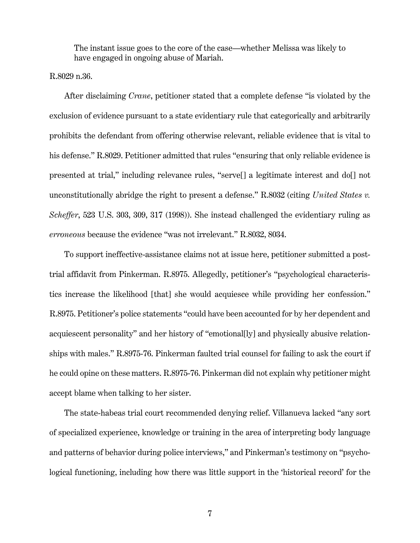The instant issue goes to the core of the case—whether Melissa was likely to have engaged in ongoing abuse of Mariah.

R.8029 n.36.

After disclaiming *Crane*, petitioner stated that a complete defense "is violated by the exclusion of evidence pursuant to a state evidentiary rule that categorically and arbitrarily prohibits the defendant from offering otherwise relevant, reliable evidence that is vital to his defense." R.8029. Petitioner admitted that rules "ensuring that only reliable evidence is presented at trial," including relevance rules, "serve[] a legitimate interest and do[] not unconstitutionally abridge the right to present a defense." R.8032 (citing *United States v. Scheffer*, 523 U.S. 303, 309, 317 (1998)). She instead challenged the evidentiary ruling as *erroneous* because the evidence "was not irrelevant." R.8032, 8034.

To support ineffective-assistance claims not at issue here, petitioner submitted a posttrial affidavit from Pinkerman. R.8975. Allegedly, petitioner's "psychological characteristics increase the likelihood [that] she would acquiesce while providing her confession." R.8975. Petitioner's police statements "could have been accounted for by her dependent and acquiescent personality" and her history of "emotional[ly] and physically abusive relationships with males." R.8975-76. Pinkerman faulted trial counsel for failing to ask the court if he could opine on these matters. R.8975-76. Pinkerman did not explain why petitioner might accept blame when talking to her sister.

The state-habeas trial court recommended denying relief. Villanueva lacked "any sort of specialized experience, knowledge or training in the area of interpreting body language and patterns of behavior during police interviews," and Pinkerman's testimony on "psychological functioning, including how there was little support in the 'historical record' for the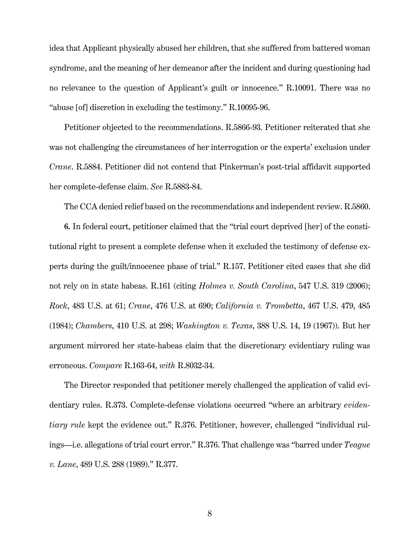idea that Applicant physically abused her children, that she suffered from battered woman syndrome, and the meaning of her demeanor after the incident and during questioning had no relevance to the question of Applicant's guilt or innocence." R.10091. There was no "abuse [of] discretion in excluding the testimony." R.10095-96.

Petitioner objected to the recommendations. R.5866-93. Petitioner reiterated that she was not challenging the circumstances of her interrogation or the experts' exclusion under *Crane*. R.5884. Petitioner did not contend that Pinkerman's post-trial affidavit supported her complete-defense claim. *See* R.5883-84.

<span id="page-14-1"></span><span id="page-14-0"></span>The CCA denied relief based on the recommendations and independent review. R.5860.

**6.** In federal court, petitioner claimed that the "trial court deprived [her] of the constitutional right to present a complete defense when it excluded the testimony of defense experts during the guilt/innocence phase of trial." R.157. Petitioner cited cases that she did not rely on in state habeas. R.161 (citing *Holmes v. South Carolina*, 547 U.S. 319 (2006); *Rock*, 483 U.S. at 61; *Crane*, 476 U.S. at 690; *California v. Trombetta*, 467 U.S. 479, 485 (1984); *Chambers*, 410 U.S. at 298; *Washington v. Texas*, 388 U.S. 14, 19 (1967)). But her argument mirrored her state-habeas claim that the discretionary evidentiary ruling was erroneous. *Compare* R.163-64, *with* R.8032-34.

<span id="page-14-3"></span><span id="page-14-2"></span>The Director responded that petitioner merely challenged the application of valid evidentiary rules. R.373. Complete-defense violations occurred "where an arbitrary *evidentiary rule* kept the evidence out." R.376. Petitioner, however, challenged "individual rulings—i.e. allegations of trial court error." R.376. That challenge was "barred under *Teague v. Lane*, 489 U.S. 288 (1989)." R.377.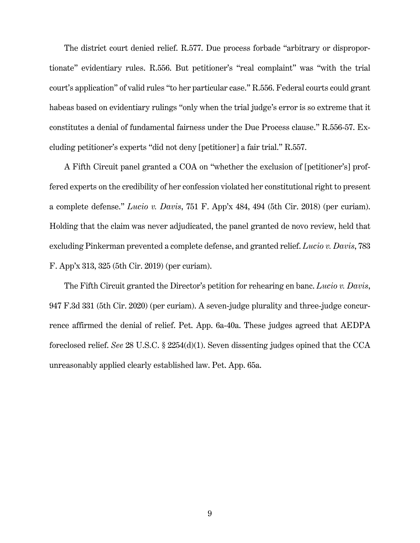The district court denied relief. R.577. Due process forbade "arbitrary or disproportionate" evidentiary rules. R.556. But petitioner's "real complaint" was "with the trial court's application" of valid rules "to her particular case." R.556. Federal courts could grant habeas based on evidentiary rulings "only when the trial judge's error is so extreme that it constitutes a denial of fundamental fairness under the Due Process clause." R.556-57. Excluding petitioner's experts "did not deny [petitioner] a fair trial." R.557.

<span id="page-15-2"></span>A Fifth Circuit panel granted a COA on "whether the exclusion of [petitioner's] proffered experts on the credibility of her confession violated her constitutional right to present a complete defense." *Lucio v. Davis*, 751 F. App'x 484, 494 (5th Cir. 2018) (per curiam). Holding that the claim was never adjudicated, the panel granted de novo review, held that excluding Pinkerman prevented a complete defense, and granted relief. *Lucio v. Davis*, 783 F. App'x 313, 325 (5th Cir. 2019) (per curiam).

<span id="page-15-1"></span><span id="page-15-0"></span>The Fifth Circuit granted the Director's petition for rehearing en banc. *Lucio v. Davis*, 947 F.3d 331 (5th Cir. 2020) (per curiam). A seven-judge plurality and three-judge concurrence affirmed the denial of relief. Pet. App. 6a-40a. These judges agreed that AEDPA foreclosed relief. *See* 28 U.S.C. § 2254(d)(1). Seven dissenting judges opined that the CCA unreasonably applied clearly established law. Pet. App. 65a.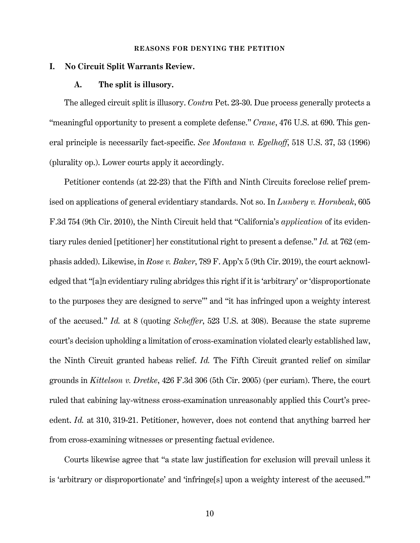#### <span id="page-16-5"></span><span id="page-16-4"></span>**REASONS FOR DENYING THE PETITION**

#### <span id="page-16-2"></span><span id="page-16-1"></span><span id="page-16-0"></span>**I. No Circuit Split Warrants Review.**

#### **A. The split is illusory.**

The alleged circuit split is illusory. *Contra* Pet. 23-30. Due process generally protects a "meaningful opportunity to present a complete defense." *Crane*, 476 U.S. at 690. This general principle is necessarily fact-specific. *See Montana v. Egelhoff*, 518 U.S. 37, 53 (1996) (plurality op.). Lower courts apply it accordingly.

<span id="page-16-6"></span>Petitioner contends (at 22-23) that the Fifth and Ninth Circuits foreclose relief premised on applications of general evidentiary standards. Not so. In *Lunbery v. Hornbeak*, 605 F.3d 754 (9th Cir. 2010), the Ninth Circuit held that "California's *application* of its evidentiary rules denied [petitioner] her constitutional right to present a defense." *Id.* at 762 (emphasis added). Likewise, in *Rose v. Baker*, 789 F. App'x 5 (9th Cir. 2019), the court acknowledged that "[a]n evidentiary ruling abridges this right if it is 'arbitrary' or 'disproportionate to the purposes they are designed to serve'" and "it has infringed upon a weighty interest of the accused." *Id.* at 8 (quoting *Scheffer*, 523 U.S. at 308). Because the state supreme court's decision upholding a limitation of cross-examination violated clearly established law, the Ninth Circuit granted habeas relief. *Id.* The Fifth Circuit granted relief on similar grounds in *Kittelson v. Dretke*, 426 F.3d 306 (5th Cir. 2005) (per curiam). There, the court ruled that cabining lay-witness cross-examination unreasonably applied this Court's precedent. *Id.* at 310, 319-21. Petitioner, however, does not contend that anything barred her from cross-examining witnesses or presenting factual evidence.

<span id="page-16-3"></span>Courts likewise agree that "a state law justification for exclusion will prevail unless it is 'arbitrary or disproportionate' and 'infringe[s] upon a weighty interest of the accused.'"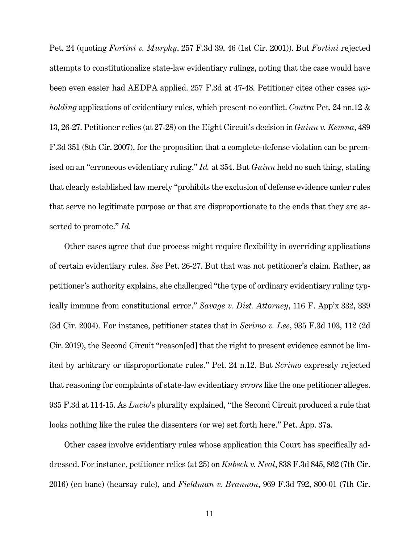<span id="page-17-2"></span><span id="page-17-1"></span>Pet. 24 (quoting *Fortini v. Murphy*, 257 F.3d 39, 46 (1st Cir. 2001)). But *Fortini* rejected attempts to constitutionalize state-law evidentiary rulings, noting that the case would have been even easier had AEDPA applied. 257 F.3d at 47-48. Petitioner cites other cases *upholding* applications of evidentiary rules, which present no conflict. *Contra* Pet. 24 nn.12 & 13, 26-27. Petitioner relies (at 27-28) on the Eight Circuit's decision in *Guinn v. Kemna*, 489 F.3d 351 (8th Cir. 2007), for the proposition that a complete-defense violation can be premised on an "erroneous evidentiary ruling." *Id.* at 354. But *Guinn* held no such thing, stating that clearly established law merely "prohibits the exclusion of defense evidence under rules that serve no legitimate purpose or that are disproportionate to the ends that they are asserted to promote." *Id.*

<span id="page-17-5"></span><span id="page-17-4"></span>Other cases agree that due process might require flexibility in overriding applications of certain evidentiary rules. *See* Pet. 26-27. But that was not petitioner's claim. Rather, as petitioner's authority explains, she challenged "the type of ordinary evidentiary ruling typically immune from constitutional error." *Savage v. Dist. Attorney*, 116 F. App'x 332, 339 (3d Cir. 2004). For instance, petitioner states that in *Scrimo v. Lee*, 935 F.3d 103, 112 (2d Cir. 2019), the Second Circuit "reason[ed] that the right to present evidence cannot be limited by arbitrary or disproportionate rules." Pet. 24 n.12. But *Scrimo* expressly rejected that reasoning for complaints of state-law evidentiary *errors* like the one petitioner alleges. 935 F.3d at 114-15. As *Lucio*'s plurality explained, "the Second Circuit produced a rule that looks nothing like the rules the dissenters (or we) set forth here." Pet. App. 37a.

<span id="page-17-3"></span><span id="page-17-0"></span>Other cases involve evidentiary rules whose application this Court has specifically addressed. For instance, petitioner relies (at 25) on *Kubsch v. Neal*, 838 F.3d 845, 862 (7th Cir. 2016) (en banc) (hearsay rule), and *Fieldman v. Brannon*, 969 F.3d 792, 800-01 (7th Cir.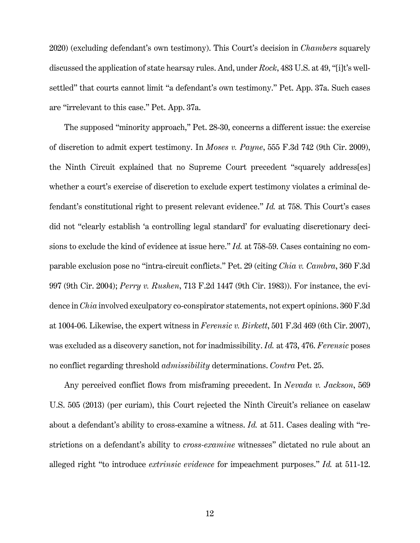<span id="page-18-5"></span>2020) (excluding defendant's own testimony). This Court's decision in *Chambers* squarely discussed the application of state hearsay rules. And, under *Rock*, 483 U.S. at 49, "[i]t's wellsettled" that courts cannot limit "a defendant's own testimony." Pet. App. 37a. Such cases are "irrelevant to this case." Pet. App. 37a.

<span id="page-18-2"></span>The supposed "minority approach," Pet. 28-30, concerns a different issue: the exercise of discretion to admit expert testimony. In *Moses v. Payne*, 555 F.3d 742 (9th Cir. 2009), the Ninth Circuit explained that no Supreme Court precedent "squarely address[es] whether a court's exercise of discretion to exclude expert testimony violates a criminal defendant's constitutional right to present relevant evidence." *Id.* at 758. This Court's cases did not "clearly establish 'a controlling legal standard' for evaluating discretionary decisions to exclude the kind of evidence at issue here." *Id.* at 758-59. Cases containing no comparable exclusion pose no "intra-circuit conflicts." Pet. 29 (citing *Chia v. Cambra*, 360 F.3d 997 (9th Cir. 2004); *Perry v. Rushen*, 713 F.2d 1447 (9th Cir. 1983)). For instance, the evidence in *Chia* involved exculpatory co-conspirator statements, not expert opinions. 360 F.3d at 1004-06. Likewise, the expert witness in *Ferensic v. Birkett*, 501 F.3d 469 (6th Cir. 2007), was excluded as a discovery sanction, not for inadmissibility. *Id.* at 473, 476. *Ferensic* poses no conflict regarding threshold *admissibility* determinations. *Contra* Pet. 25.

<span id="page-18-4"></span><span id="page-18-3"></span><span id="page-18-1"></span><span id="page-18-0"></span>Any perceived conflict flows from misframing precedent. In *Nevada v. Jackson*, 569 U.S. 505 (2013) (per curiam), this Court rejected the Ninth Circuit's reliance on caselaw about a defendant's ability to cross-examine a witness. *Id.* at 511. Cases dealing with "restrictions on a defendant's ability to *cross-examine* witnesses" dictated no rule about an alleged right "to introduce *extrinsic evidence* for impeachment purposes." *Id.* at 511-12.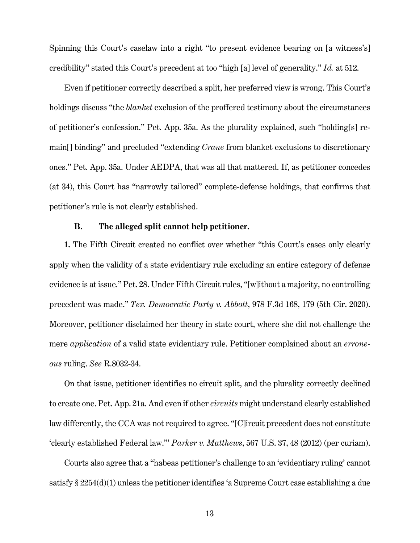<span id="page-19-1"></span>Spinning this Court's caselaw into a right "to present evidence bearing on [a witness's] credibility" stated this Court's precedent at too "high [a] level of generality." *Id.* at 512.

Even if petitioner correctly described a split, her preferred view is wrong. This Court's holdings discuss "the *blanket* exclusion of the proffered testimony about the circumstances of petitioner's confession." Pet. App. 35a. As the plurality explained, such "holding[s] remain[] binding" and precluded "extending *Crane* from blanket exclusions to discretionary ones." Pet. App. 35a. Under AEDPA, that was all that mattered. If, as petitioner concedes (at 34), this Court has "narrowly tailored" complete-defense holdings, that confirms that petitioner's rule is not clearly established.

# <span id="page-19-3"></span>**B. The alleged split cannot help petitioner.**

<span id="page-19-0"></span>**1.** The Fifth Circuit created no conflict over whether "this Court's cases only clearly apply when the validity of a state evidentiary rule excluding an entire category of defense evidence is at issue." Pet. 28. Under Fifth Circuit rules, "[w]ithout a majority, no controlling precedent was made." *Tex. Democratic Party v. Abbott*, 978 F.3d 168, 179 (5th Cir. 2020). Moreover, petitioner disclaimed her theory in state court, where she did not challenge the mere *application* of a valid state evidentiary rule. Petitioner complained about an *erroneous* ruling. *See* R.8032-34.

On that issue, petitioner identifies no circuit split, and the plurality correctly declined to create one. Pet. App. 21a. And even if other *circuits* might understand clearly established law differently, the CCA was not required to agree. "[C]ircuit precedent does not constitute 'clearly established Federal law.'" *Parker v. Matthews*, 567 U.S. 37, 48 (2012) (per curiam).

<span id="page-19-2"></span>Courts also agree that a "habeas petitioner's challenge to an 'evidentiary ruling' cannot satisfy § 2254(d)(1) unless the petitioner identifies 'a Supreme Court case establishing a due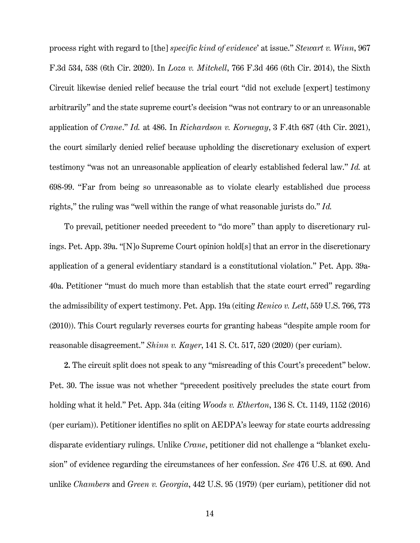<span id="page-20-4"></span><span id="page-20-2"></span><span id="page-20-0"></span>process right with regard to [the] *specific kind of evidence*' at issue." *Stewart v. Winn*, 967 F.3d 534, 538 (6th Cir. 2020). In *Loza v. Mitchell*, 766 F.3d 466 (6th Cir. 2014), the Sixth Circuit likewise denied relief because the trial court "did not exclude [expert] testimony arbitrarily" and the state supreme court's decision "was not contrary to or an unreasonable application of *Crane*." *Id.* at 486. In *Richardson v. Kornegay*, 3 F.4th 687 (4th Cir. 2021), the court similarly denied relief because upholding the discretionary exclusion of expert testimony "was not an unreasonable application of clearly established federal law." *Id.* at 698-99. "Far from being so unreasonable as to violate clearly established due process rights," the ruling was "well within the range of what reasonable jurists do." *Id.*

To prevail, petitioner needed precedent to "do more" than apply to discretionary rulings. Pet. App. 39a. "[N]o Supreme Court opinion hold[s] that an error in the discretionary application of a general evidentiary standard is a constitutional violation." Pet. App. 39a-40a. Petitioner "must do much more than establish that the state court erred" regarding the admissibility of expert testimony. Pet. App. 19a (citing *Renico v. Lett*, 559 U.S. 766, 773 (2010)). This Court regularly reverses courts for granting habeas "despite ample room for reasonable disagreement." *Shinn v. Kayer*, 141 S. Ct. 517, 520 (2020) (per curiam).

<span id="page-20-5"></span><span id="page-20-3"></span><span id="page-20-1"></span>**2.** The circuit split does not speak to any "misreading of this Court's precedent" below. Pet. 30. The issue was not whether "precedent positively precludes the state court from holding what it held." Pet. App. 34a (citing *Woods v. Etherton*, 136 S. Ct. 1149, 1152 (2016) (per curiam)). Petitioner identifies no split on AEDPA's leeway for state courts addressing disparate evidentiary rulings. Unlike *Crane*, petitioner did not challenge a "blanket exclusion" of evidence regarding the circumstances of her confession. *See* 476 U.S. at 690. And unlike *Chambers* and *Green v. Georgia*, 442 U.S. 95 (1979) (per curiam), petitioner did not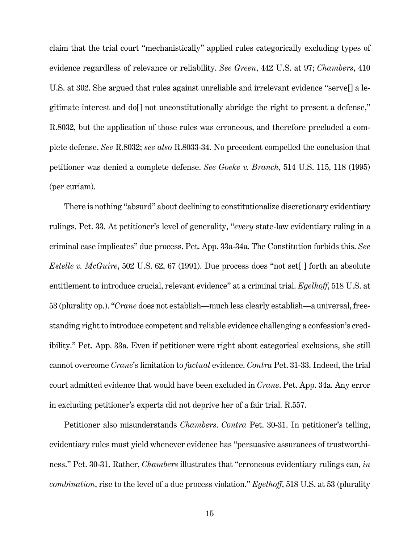claim that the trial court "mechanistically" applied rules categorically excluding types of evidence regardless of relevance or reliability. *See Green*, 442 U.S. at 97; *Chambers*, 410 U.S. at 302. She argued that rules against unreliable and irrelevant evidence "serve[] a legitimate interest and do[] not unconstitutionally abridge the right to present a defense," R.8032, but the application of those rules was erroneous, and therefore precluded a complete defense. *See* R.8032; *see also* R.8033-34. No precedent compelled the conclusion that petitioner was denied a complete defense. *See Goeke v. Branch*, 514 U.S. 115, 118 (1995) (per curiam).

<span id="page-21-2"></span><span id="page-21-1"></span><span id="page-21-0"></span>There is nothing "absurd" about declining to constitutionalize discretionary evidentiary rulings. Pet. 33. At petitioner's level of generality, "*every* state-law evidentiary ruling in a criminal case implicates" due process. Pet. App. 33a-34a. The Constitution forbids this. *See Estelle v. McGuire*, 502 U.S. 62, 67 (1991). Due process does ''not set[ ] forth an absolute entitlement to introduce crucial, relevant evidence'' at a criminal trial. *Egelhoff*, 518 U.S. at 53 (plurality op.). "*Crane* does not establish—much less clearly establish—a universal, freestanding right to introduce competent and reliable evidence challenging a confession's credibility." Pet. App. 33a. Even if petitioner were right about categorical exclusions, she still cannot overcome *Crane*'s limitation to *factual* evidence. *Contra* Pet. 31-33. Indeed, the trial court admitted evidence that would have been excluded in *Crane*. Pet. App. 34a. Any error in excluding petitioner's experts did not deprive her of a fair trial. R.557.

<span id="page-21-3"></span>Petitioner also misunderstands *Chambers*. *Contra* Pet. 30-31. In petitioner's telling, evidentiary rules must yield whenever evidence has "persuasive assurances of trustworthiness." Pet. 30-31. Rather, *Chambers* illustrates that "erroneous evidentiary rulings can, *in combination*, rise to the level of a due process violation." *Egelhoff*, 518 U.S. at 53 (plurality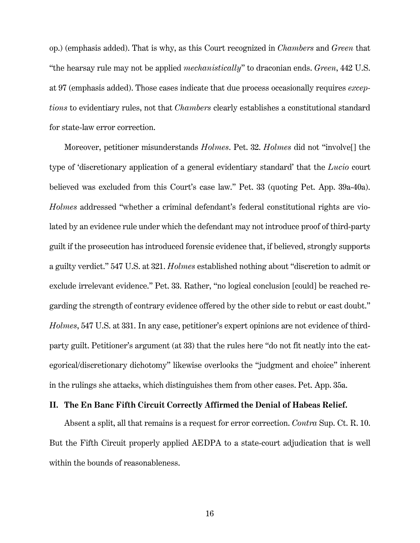op.) (emphasis added). That is why, as this Court recognized in *Chambers* and *Green* that "the hearsay rule may not be applied *mechanistically*" to draconian ends. *Green*, 442 U.S. at 97 (emphasis added). Those cases indicate that due process occasionally requires *exceptions* to evidentiary rules, not that *Chambers* clearly establishes a constitutional standard for state-law error correction.

<span id="page-22-1"></span>Moreover, petitioner misunderstands *Holmes*. Pet. 32. *Holmes* did not "involve[] the type of 'discretionary application of a general evidentiary standard' that the *Lucio* court believed was excluded from this Court's case law." Pet. 33 (quoting Pet. App. 39a-40a). *Holmes* addressed "whether a criminal defendant's federal constitutional rights are violated by an evidence rule under which the defendant may not introduce proof of third-party guilt if the prosecution has introduced forensic evidence that, if believed, strongly supports a guilty verdict." 547 U.S. at 321. *Holmes* established nothing about "discretion to admit or exclude irrelevant evidence." Pet. 33. Rather, "no logical conclusion [could] be reached regarding the strength of contrary evidence offered by the other side to rebut or cast doubt." *Holmes*, 547 U.S. at 331. In any case, petitioner's expert opinions are not evidence of thirdparty guilt. Petitioner's argument (at 33) that the rules here "do not fit neatly into the categorical/discretionary dichotomy" likewise overlooks the "judgment and choice" inherent in the rulings she attacks, which distinguishes them from other cases. Pet. App. 35a.

# <span id="page-22-0"></span>**II. The En Banc Fifth Circuit Correctly Affirmed the Denial of Habeas Relief.**

<span id="page-22-2"></span>Absent a split, all that remains is a request for error correction. *Contra* Sup. Ct. R. 10. But the Fifth Circuit properly applied AEDPA to a state-court adjudication that is well within the bounds of reasonableness.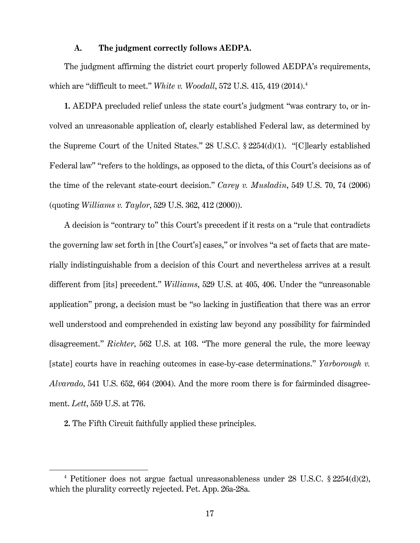### **A. The judgment correctly follows AEDPA.**

<span id="page-23-0"></span>The judgment affirming the district court properly followed AEDPA's requirements, which are "difficult to meet." *White v. Woodall*, 572 U.S. 415, 419 (2014). [4](#page-23-7)

**1.** AEDPA precluded relief unless the state court's judgment "was contrary to, or involved an unreasonable application of, clearly established Federal law, as determined by the Supreme Court of the United States." 28 U.S.C. § 2254(d)(1). "[C]learly established Federal law" "refers to the holdings, as opposed to the dicta, of this Court's decisions as of the time of the relevant state-court decision." *Carey v. Musladin*, 549 U.S. 70, 74 (2006) (quoting *Williams v. Taylor*, 529 U.S. 362, 412 (2000)).

<span id="page-23-4"></span><span id="page-23-1"></span>A decision is "contrary to" this Court's precedent if it rests on a "rule that contradicts the governing law set forth in [the Court's] cases," or involves "a set of facts that are materially indistinguishable from a decision of this Court and nevertheless arrives at a result different from [its] precedent." *Williams*, 529 U.S. at 405, 406. Under the "unreasonable application" prong, a decision must be "so lacking in justification that there was an error well understood and comprehended in existing law beyond any possibility for fairminded disagreement." *Richter*, 562 U.S. at 103. "The more general the rule, the more leeway [state] courts have in reaching outcomes in case-by-case determinations." *Yarborough v. Alvarado*, 541 U.S. 652, 664 (2004). And the more room there is for fairminded disagreement. *Lett*, 559 U.S. at 776.

<span id="page-23-6"></span><span id="page-23-5"></span><span id="page-23-3"></span><span id="page-23-2"></span>**2.** The Fifth Circuit faithfully applied these principles.

<span id="page-23-7"></span><sup>&</sup>lt;sup>4</sup> Petitioner does not argue factual unreasonableness under 28 U.S.C.  $\S 2254(d)(2)$ , which the plurality correctly rejected. Pet. App. 26a-28a.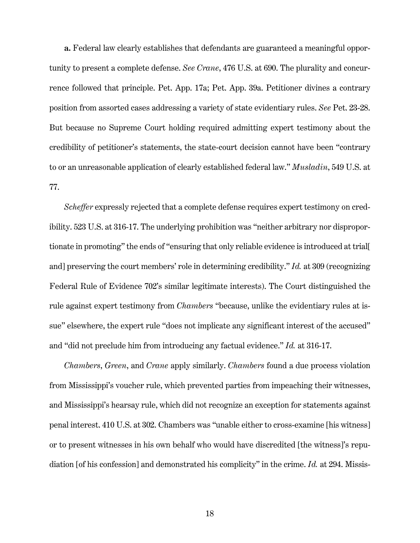**a.** Federal law clearly establishes that defendants are guaranteed a meaningful opportunity to present a complete defense. *See Crane*, 476 U.S. at 690. The plurality and concurrence followed that principle. Pet. App. 17a; Pet. App. 39a. Petitioner divines a contrary position from assorted cases addressing a variety of state evidentiary rules. *See* Pet. 23-28. But because no Supreme Court holding required admitting expert testimony about the credibility of petitioner's statements, the state-court decision cannot have been "contrary to or an unreasonable application of clearly established federal law." *Musladin*, 549 U.S. at 77.

<span id="page-24-1"></span><span id="page-24-0"></span>*Scheffer* expressly rejected that a complete defense requires expert testimony on credibility. 523 U.S. at 316-17. The underlying prohibition was "neither arbitrary nor disproportionate in promoting" the ends of "ensuring that only reliable evidence is introduced at trial[ and] preserving the court members' role in determining credibility." *Id.* at 309 (recognizing Federal Rule of Evidence 702's similar legitimate interests). The Court distinguished the rule against expert testimony from *Chambers* "because, unlike the evidentiary rules at issue" elsewhere, the expert rule "does not implicate any significant interest of the accused" and "did not preclude him from introducing any factual evidence." *Id.* at 316-17.

*Chambers*, *Green*, and *Crane* apply similarly. *Chambers* found a due process violation from Mississippi's voucher rule, which prevented parties from impeaching their witnesses, and Mississippi's hearsay rule, which did not recognize an exception for statements against penal interest. 410 U.S. at 302. Chambers was "unable either to cross-examine [his witness] or to present witnesses in his own behalf who would have discredited [the witness]'s repudiation [of his confession] and demonstrated his complicity" in the crime. *Id.* at 294. Missis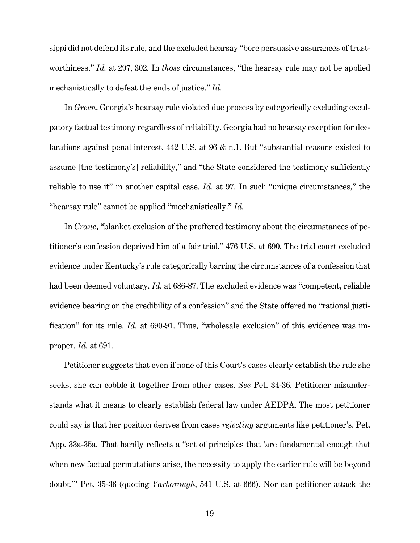sippi did not defend its rule, and the excluded hearsay "bore persuasive assurances of trustworthiness." *Id.* at 297, 302. In *those* circumstances, "the hearsay rule may not be applied mechanistically to defeat the ends of justice." *Id.*

In *Green*, Georgia's hearsay rule violated due process by categorically excluding exculpatory factual testimony regardless of reliability. Georgia had no hearsay exception for declarations against penal interest. 442 U.S. at 96 & n.1. But "substantial reasons existed to assume [the testimony's] reliability," and "the State considered the testimony sufficiently reliable to use it" in another capital case. *Id.* at 97. In such "unique circumstances," the "hearsay rule" cannot be applied "mechanistically." *Id.*

In *Crane*, "blanket exclusion of the proffered testimony about the circumstances of petitioner's confession deprived him of a fair trial." 476 U.S. at 690. The trial court excluded evidence under Kentucky's rule categorically barring the circumstances of a confession that had been deemed voluntary. *Id.* at 686-87. The excluded evidence was "competent, reliable evidence bearing on the credibility of a confession" and the State offered no "rational justification" for its rule. *Id.* at 690-91. Thus, "wholesale exclusion" of this evidence was improper. *Id.* at 691.

Petitioner suggests that even if none of this Court's cases clearly establish the rule she seeks, she can cobble it together from other cases. *See* Pet. 34-36. Petitioner misunderstands what it means to clearly establish federal law under AEDPA. The most petitioner could say is that her position derives from cases *rejecting* arguments like petitioner's. Pet. App. 33a-35a. That hardly reflects a "set of principles that 'are fundamental enough that when new factual permutations arise, the necessity to apply the earlier rule will be beyond doubt.'" Pet. 35-36 (quoting *Yarborough*, 541 U.S. at 666). Nor can petitioner attack the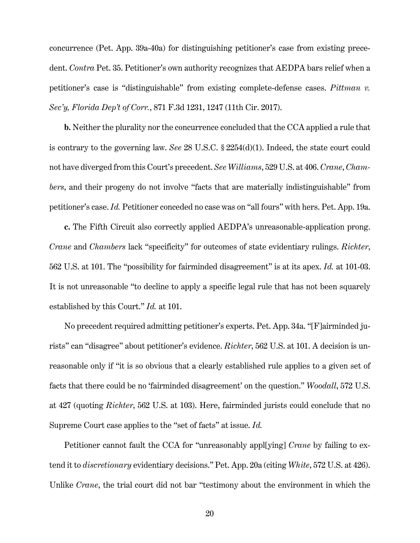<span id="page-26-1"></span>concurrence (Pet. App. 39a-40a) for distinguishing petitioner's case from existing precedent. *Contra* Pet. 35. Petitioner's own authority recognizes that AEDPA bars relief when a petitioner's case is "distinguishable" from existing complete-defense cases. *Pittman v. Sec'y, Florida Dep't of Corr.*, 871 F.3d 1231, 1247 (11th Cir. 2017).

<span id="page-26-2"></span>**b.** Neither the plurality nor the concurrence concluded that the CCA applied a rule that is contrary to the governing law. *See* 28 U.S.C. § 2254(d)(1). Indeed, the state court could not have diverged from this Court's precedent. *See Williams*, 529 U.S. at 406. *Crane*, *Chambers*, and their progeny do not involve "facts that are materially indistinguishable" from petitioner's case. *Id.* Petitioner conceded no case was on "all fours" with hers. Pet. App. 19a.

<span id="page-26-0"></span>**c.** The Fifth Circuit also correctly applied AEDPA's unreasonable-application prong. *Crane* and *Chambers* lack "specificity" for outcomes of state evidentiary rulings. *Richter*, 562 U.S. at 101. The "possibility for fairminded disagreement" is at its apex. *Id.* at 101-03. It is not unreasonable "to decline to apply a specific legal rule that has not been squarely established by this Court." *Id.* at 101.

No precedent required admitting petitioner's experts. Pet. App. 34a. "[F]airminded jurists" can "disagree" about petitioner's evidence. *Richter*, 562 U.S. at 101. A decision is unreasonable only if "it is so obvious that a clearly established rule applies to a given set of facts that there could be no 'fairminded disagreement' on the question." *Woodall*, 572 U.S. at 427 (quoting *Richter*, 562 U.S. at 103). Here, fairminded jurists could conclude that no Supreme Court case applies to the "set of facts" at issue. *Id.*

Petitioner cannot fault the CCA for "unreasonably appl[ying] *Crane* by failing to extend it to *discretionary* evidentiary decisions." Pet. App. 20a (citing *White*, 572 U.S. at 426). Unlike *Crane*, the trial court did not bar "testimony about the environment in which the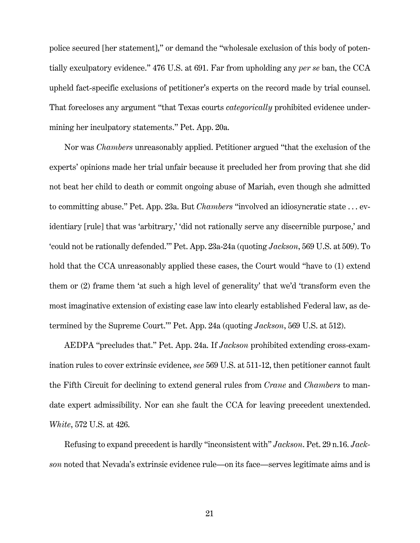police secured [her statement]," or demand the "wholesale exclusion of this body of potentially exculpatory evidence." 476 U.S. at 691. Far from upholding any *per se* ban, the CCA upheld fact-specific exclusions of petitioner's experts on the record made by trial counsel. That forecloses any argument "that Texas courts *categorically* prohibited evidence undermining her inculpatory statements." Pet. App. 20a.

<span id="page-27-0"></span>Nor was *Chambers* unreasonably applied. Petitioner argued "that the exclusion of the experts' opinions made her trial unfair because it precluded her from proving that she did not beat her child to death or commit ongoing abuse of Mariah, even though she admitted to committing abuse." Pet. App. 23a. But *Chambers* "involved an idiosyncratic state . . . evidentiary [rule] that was 'arbitrary,' 'did not rationally serve any discernible purpose,' and 'could not be rationally defended.'" Pet. App. 23a-24a (quoting *Jackson*, 569 U.S. at 509). To hold that the CCA unreasonably applied these cases, the Court would "have to  $(1)$  extend them or (2) frame them 'at such a high level of generality' that we'd 'transform even the most imaginative extension of existing case law into clearly established Federal law, as determined by the Supreme Court.'" Pet. App. 24a (quoting *Jackson*, 569 U.S. at 512).

AEDPA "precludes that." Pet. App. 24a. If *Jackson* prohibited extending cross-examination rules to cover extrinsic evidence, *see* 569 U.S. at 511-12, then petitioner cannot fault the Fifth Circuit for declining to extend general rules from *Crane* and *Chambers* to mandate expert admissibility. Nor can she fault the CCA for leaving precedent unextended. *White*, 572 U.S. at 426.

<span id="page-27-1"></span>Refusing to expand precedent is hardly "inconsistent with" *Jackson*. Pet. 29 n.16. *Jackson* noted that Nevada's extrinsic evidence rule—on its face—serves legitimate aims and is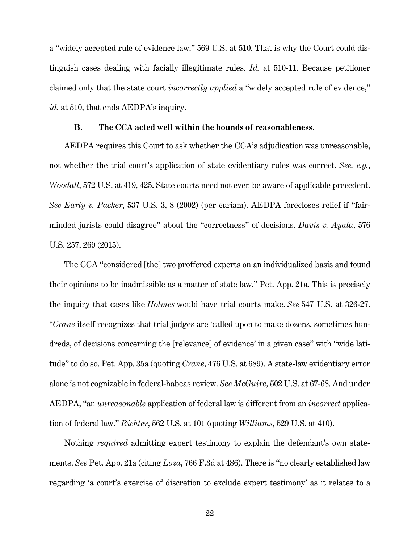a "widely accepted rule of evidence law." 569 U.S. at 510. That is why the Court could distinguish cases dealing with facially illegitimate rules. *Id.* at 510-11. Because petitioner claimed only that the state court *incorrectly applied* a "widely accepted rule of evidence," *id.* at 510, that ends AEDPA's inquiry.

#### <span id="page-28-1"></span>**B. The CCA acted well within the bounds of reasonableness.**

<span id="page-28-2"></span><span id="page-28-0"></span>AEDPA requires this Court to ask whether the CCA's adjudication was unreasonable, not whether the trial court's application of state evidentiary rules was correct. *See, e.g.*, *Woodall*, 572 U.S. at 419, 425. State courts need not even be aware of applicable precedent. *See Early v. Packer*, 537 U.S. 3, 8 (2002) (per curiam). AEDPA forecloses relief if "fairminded jurists could disagree" about the "correctness" of decisions. *Davis v. Ayala*, 576 U.S. 257, 269 (2015).

<span id="page-28-5"></span>The CCA "considered [the] two proffered experts on an individualized basis and found their opinions to be inadmissible as a matter of state law." Pet. App. 21a. This is precisely the inquiry that cases like *Holmes* would have trial courts make. *See* 547 U.S. at 326-27. "*Crane* itself recognizes that trial judges are 'called upon to make dozens, sometimes hundreds, of decisions concerning the [relevance] of evidence' in a given case" with "wide latitude" to do so. Pet. App. 35a (quoting *Crane*, 476 U.S. at 689). A state-law evidentiary error alone is not cognizable in federal-habeas review. *See McGuire*, 502 U.S. at 67-68. And under AEDPA, "an *unreasonable* application of federal law is different from an *incorrect* application of federal law." *Richter*, 562 U.S. at 101 (quoting *Williams*, 529 U.S. at 410).

<span id="page-28-7"></span><span id="page-28-6"></span><span id="page-28-4"></span><span id="page-28-3"></span>Nothing *required* admitting expert testimony to explain the defendant's own statements. *See* Pet. App. 21a (citing *Loza*, 766 F.3d at 486). There is "no clearly established law regarding 'a court's exercise of discretion to exclude expert testimony' as it relates to a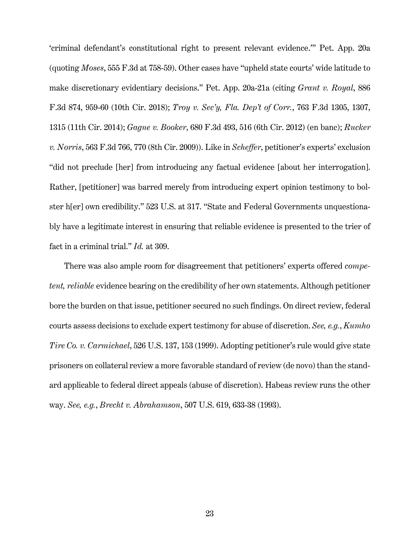<span id="page-29-6"></span><span id="page-29-5"></span><span id="page-29-4"></span><span id="page-29-2"></span><span id="page-29-1"></span>'criminal defendant's constitutional right to present relevant evidence.'" Pet. App. 20a (quoting *Moses*, 555 F.3d at 758-59). Other cases have "upheld state courts' wide latitude to make discretionary evidentiary decisions." Pet. App. 20a-21a (citing *Grant v. Royal*, 886 F.3d 874, 959-60 (10th Cir. 2018); *Troy v. Sec'y, Fla. Dep't of Corr.*, 763 F.3d 1305, 1307, 1315 (11th Cir. 2014); *Gagne v. Booker*, 680 F.3d 493, 516 (6th Cir. 2012) (en banc); *Rucker v. Norris*, 563 F.3d 766, 770 (8th Cir. 2009)). Like in *Scheffer*, petitioner's experts' exclusion "did not preclude [her] from introducing any factual evidence [about her interrogation]. Rather, [petitioner] was barred merely from introducing expert opinion testimony to bolster h[er] own credibility." 523 U.S. at 317. "State and Federal Governments unquestionably have a legitimate interest in ensuring that reliable evidence is presented to the trier of fact in a criminal trial." *Id.* at 309.

<span id="page-29-3"></span><span id="page-29-0"></span>There was also ample room for disagreement that petitioners' experts offered *competent, reliable* evidence bearing on the credibility of her own statements. Although petitioner bore the burden on that issue, petitioner secured no such findings. On direct review, federal courts assess decisions to exclude expert testimony for abuse of discretion. *See, e.g.*, *Kumho Tire Co. v. Carmichael*, 526 U.S. 137, 153 (1999). Adopting petitioner's rule would give state prisoners on collateral review a more favorable standard of review (de novo) than the standard applicable to federal direct appeals (abuse of discretion). Habeas review runs the other way. *See, e.g.*, *Brecht v. Abrahamson*, 507 U.S. 619, 633-38 (1993).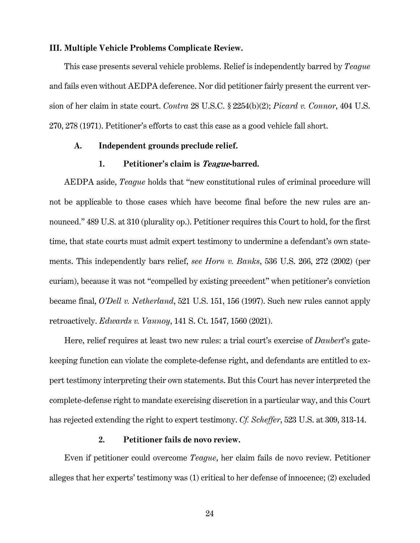# <span id="page-30-0"></span>**III. Multiple Vehicle Problems Complicate Review.**

This case presents several vehicle problems. Relief is independently barred by *Teague* and fails even without AEDPA deference. Nor did petitioner fairly present the current version of her claim in state court. *Contra* 28 U.S.C. § 2254(b)(2); *Picard v. Connor*, 404 U.S. 270, 278 (1971). Petitioner's efforts to cast this case as a good vehicle fall short.

## <span id="page-30-1"></span>**A. Independent grounds preclude relief.**

# <span id="page-30-10"></span><span id="page-30-9"></span><span id="page-30-8"></span><span id="page-30-6"></span>**1. Petitioner's claim is Teague-barred.**

<span id="page-30-2"></span>AEDPA aside, *Teague* holds that "new constitutional rules of criminal procedure will not be applicable to those cases which have become final before the new rules are announced." 489 U.S. at 310 (plurality op.). Petitioner requires this Court to hold, for the first time, that state courts must admit expert testimony to undermine a defendant's own statements. This independently bars relief, *see Horn v. Banks*, 536 U.S. 266, 272 (2002) (per curiam), because it was not "compelled by existing precedent" when petitioner's conviction became final, *O'Dell v. Netherland*, 521 U.S. 151, 156 (1997). Such new rules cannot apply retroactively. *Edwards v. Vannoy*, 141 S. Ct. 1547, 1560 (2021).

<span id="page-30-7"></span><span id="page-30-5"></span>Here, relief requires at least two new rules: a trial court's exercise of *Daubert*'s gatekeeping function can violate the complete-defense right, and defendants are entitled to expert testimony interpreting their own statements. But this Court has never interpreted the complete-defense right to mandate exercising discretion in a particular way, and this Court has rejected extending the right to expert testimony. *Cf. Scheffer*, 523 U.S. at 309, 313-14.

# <span id="page-30-4"></span>**2. Petitioner fails de novo review.**

<span id="page-30-3"></span>Even if petitioner could overcome *Teague*, her claim fails de novo review. Petitioner alleges that her experts' testimony was (1) critical to her defense of innocence; (2) excluded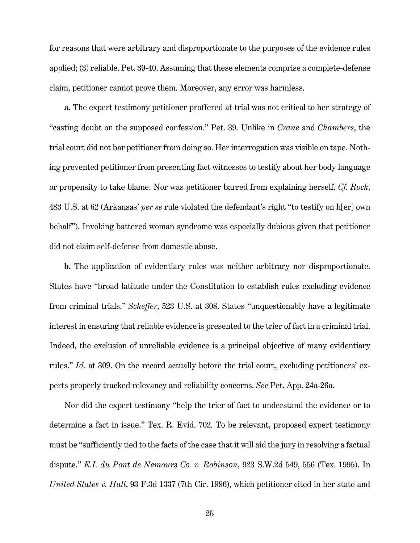for reasons that were arbitrary and disproportionate to the purposes of the evidence rules applied; (3) reliable. Pet. 39-40. Assuming that these elements comprise a complete-defense claim, petitioner cannot prove them. Moreover, any error was harmless.

<span id="page-31-1"></span>**a.** The expert testimony petitioner proffered at trial was not critical to her strategy of "casting doubt on the supposed confession." Pet. 39. Unlike in *Crane* and *Chambers*, the trial court did not bar petitioner from doing so. Her interrogation was visible on tape. Nothing prevented petitioner from presenting fact witnesses to testify about her body language or propensity to take blame. Nor was petitioner barred from explaining herself. *Cf. Rock*, 483 U.S. at 62 (Arkansas' *per se* rule violated the defendant's right "to testify on h[er] own behalf"). Invoking battered woman syndrome was especially dubious given that petitioner did not claim self-defense from domestic abuse.

**b.** The application of evidentiary rules was neither arbitrary nor disproportionate. States have "broad latitude under the Constitution to establish rules excluding evidence from criminal trials." *Scheffer*, 523 U.S. at 308. States "unquestionably have a legitimate interest in ensuring that reliable evidence is presented to the trier of fact in a criminal trial. Indeed, the exclusion of unreliable evidence is a principal objective of many evidentiary rules." *Id.* at 309. On the record actually before the trial court, excluding petitioners' experts properly tracked relevancy and reliability concerns. *See* Pet. App. 24a-26a.

<span id="page-31-3"></span><span id="page-31-2"></span><span id="page-31-0"></span>Nor did the expert testimony "help the trier of fact to understand the evidence or to determine a fact in issue." Tex. R. Evid. 702. To be relevant, proposed expert testimony must be "sufficiently tied to the facts of the case that it will aid the jury in resolving a factual dispute." *E.I. du Pont de Nemours Co. v. Robinson*, 923 S.W.2d 549, 556 (Tex. 1995). In *United States v. Hall*, 93 F.3d 1337 (7th Cir. 1996), which petitioner cited in her state and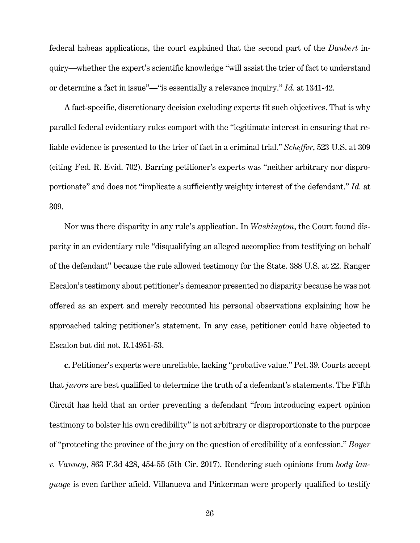<span id="page-32-1"></span>federal habeas applications, the court explained that the second part of the *Daubert* inquiry—whether the expert's scientific knowledge "will assist the trier of fact to understand or determine a fact in issue"—"is essentially a relevance inquiry." *Id.* at 1341-42.

<span id="page-32-3"></span>A fact-specific, discretionary decision excluding experts fit such objectives. That is why parallel federal evidentiary rules comport with the "legitimate interest in ensuring that reliable evidence is presented to the trier of fact in a criminal trial." *Scheffer*, 523 U.S. at 309 (citing Fed. R. Evid. 702). Barring petitioner's experts was "neither arbitrary nor disproportionate" and does not "implicate a sufficiently weighty interest of the defendant." *Id.* at 309.

<span id="page-32-2"></span>Nor was there disparity in any rule's application. In *Washington*, the Court found disparity in an evidentiary rule "disqualifying an alleged accomplice from testifying on behalf of the defendant" because the rule allowed testimony for the State. 388 U.S. at 22. Ranger Escalon's testimony about petitioner's demeanor presented no disparity because he was not offered as an expert and merely recounted his personal observations explaining how he approached taking petitioner's statement. In any case, petitioner could have objected to Escalon but did not. R.14951-53.

<span id="page-32-0"></span>**c.** Petitioner's experts were unreliable, lacking "probative value." Pet. 39. Courts accept that *jurors* are best qualified to determine the truth of a defendant's statements. The Fifth Circuit has held that an order preventing a defendant "from introducing expert opinion testimony to bolster his own credibility" is not arbitrary or disproportionate to the purpose of "protecting the province of the jury on the question of credibility of a confession." *Boyer v. Vannoy*, 863 F.3d 428, 454-55 (5th Cir. 2017). Rendering such opinions from *body language* is even farther afield. Villanueva and Pinkerman were properly qualified to testify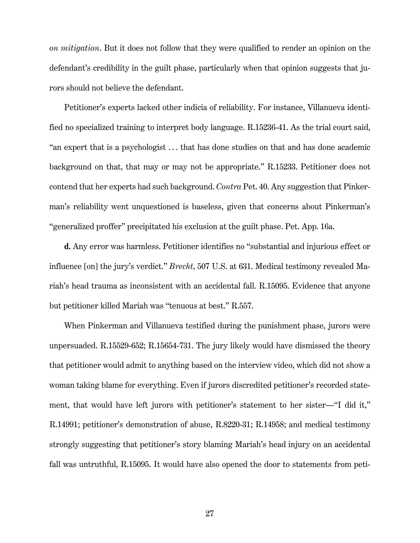*on mitigation*. But it does not follow that they were qualified to render an opinion on the defendant's credibility in the guilt phase, particularly when that opinion suggests that jurors should not believe the defendant.

Petitioner's experts lacked other indicia of reliability. For instance, Villanueva identified no specialized training to interpret body language. R.15236-41. As the trial court said, "an expert that is a psychologist . . . that has done studies on that and has done academic background on that, that may or may not be appropriate." R.15233. Petitioner does not contend that her experts had such background. *Contra* Pet. 40. Any suggestion that Pinkerman's reliability went unquestioned is baseless, given that concerns about Pinkerman's "generalized proffer" precipitated his exclusion at the guilt phase. Pet. App. 16a.

<span id="page-33-0"></span>**d.** Any error was harmless. Petitioner identifies no "substantial and injurious effect or influence [on] the jury's verdict." *Brecht*, 507 U.S. at 631. Medical testimony revealed Mariah's head trauma as inconsistent with an accidental fall. R.15095. Evidence that anyone but petitioner killed Mariah was "tenuous at best." R.557.

When Pinkerman and Villanueva testified during the punishment phase, jurors were unpersuaded. R.15529-652; R.15654-731. The jury likely would have dismissed the theory that petitioner would admit to anything based on the interview video, which did not show a woman taking blame for everything. Even if jurors discredited petitioner's recorded statement, that would have left jurors with petitioner's statement to her sister—"I did it," R.14991; petitioner's demonstration of abuse, R.8220-31; R.14958; and medical testimony strongly suggesting that petitioner's story blaming Mariah's head injury on an accidental fall was untruthful, R.15095. It would have also opened the door to statements from peti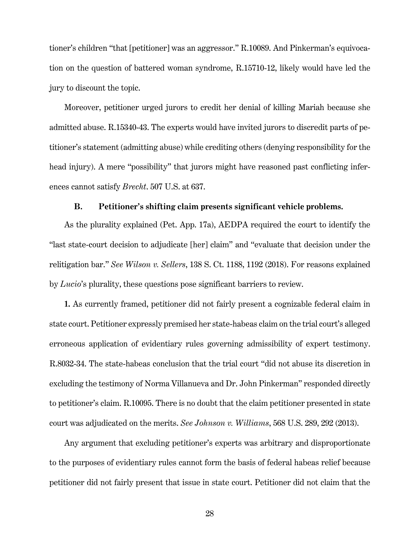tioner's children "that [petitioner] was an aggressor." R.10089. And Pinkerman's equivocation on the question of battered woman syndrome, R.15710-12, likely would have led the jury to discount the topic.

Moreover, petitioner urged jurors to credit her denial of killing Mariah because she admitted abuse. R.15340-43. The experts would have invited jurors to discredit parts of petitioner's statement (admitting abuse) while crediting others (denying responsibility for the head injury). A mere "possibility" that jurors might have reasoned past conflicting inferences cannot satisfy *Brecht*. 507 U.S. at 637.

## <span id="page-34-3"></span><span id="page-34-1"></span>**B. Petitioner's shifting claim presents significant vehicle problems.**

<span id="page-34-0"></span>As the plurality explained (Pet. App. 17a), AEDPA required the court to identify the "last state-court decision to adjudicate [her] claim" and "evaluate that decision under the relitigation bar." *See Wilson v. Sellers*, 138 S. Ct. 1188, 1192 (2018). For reasons explained by *Lucio*'s plurality, these questions pose significant barriers to review.

**1.** As currently framed, petitioner did not fairly present a cognizable federal claim in state court. Petitioner expressly premised her state-habeas claim on the trial court's alleged erroneous application of evidentiary rules governing admissibility of expert testimony. R.8032-34. The state-habeas conclusion that the trial court "did not abuse its discretion in excluding the testimony of Norma Villanueva and Dr. John Pinkerman" responded directly to petitioner's claim. R.10095. There is no doubt that the claim petitioner presented in state court was adjudicated on the merits. *See Johnson v. Williams*, 568 U.S. 289, 292 (2013).

<span id="page-34-2"></span>Any argument that excluding petitioner's experts was arbitrary and disproportionate to the purposes of evidentiary rules cannot form the basis of federal habeas relief because petitioner did not fairly present that issue in state court. Petitioner did not claim that the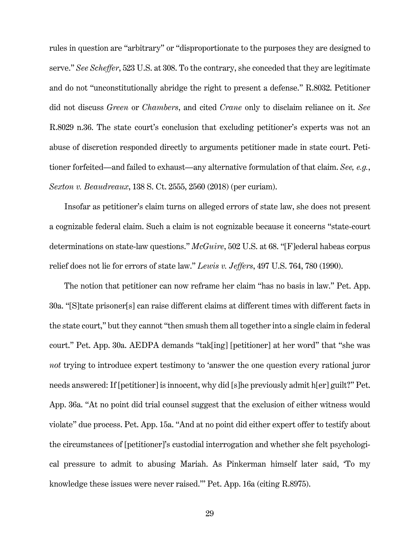rules in question are "arbitrary" or "disproportionate to the purposes they are designed to serve." *See Scheffer*, 523 U.S. at 308. To the contrary, she conceded that they are legitimate and do not "unconstitutionally abridge the right to present a defense." R.8032. Petitioner did not discuss *Green* or *Chambers*, and cited *Crane* only to disclaim reliance on it. *See* R.8029 n.36. The state court's conclusion that excluding petitioner's experts was not an abuse of discretion responded directly to arguments petitioner made in state court. Petitioner forfeited—and failed to exhaust—any alternative formulation of that claim. *See, e.g.*, *Sexton v. Beaudreaux*, 138 S. Ct. 2555, 2560 (2018) (per curiam).

<span id="page-35-2"></span><span id="page-35-0"></span>Insofar as petitioner's claim turns on alleged errors of state law, she does not present a cognizable federal claim. Such a claim is not cognizable because it concerns "state-court determinations on state-law questions." *McGuire*, 502 U.S. at 68. "[F]ederal habeas corpus relief does not lie for errors of state law." *Lewis v. Jeffers*, 497 U.S. 764, 780 (1990).

<span id="page-35-1"></span>The notion that petitioner can now reframe her claim "has no basis in law." Pet. App. 30a. "[S]tate prisoner[s] can raise different claims at different times with different facts in the state court," but they cannot "then smush them all together into a single claim in federal court." Pet. App. 30a. AEDPA demands "tak[ing] [petitioner] at her word" that "she was *not* trying to introduce expert testimony to 'answer the one question every rational juror needs answered: If [petitioner] is innocent, why did [s]he previously admit h[er] guilt?'' Pet. App. 36a. "At no point did trial counsel suggest that the exclusion of either witness would violate" due process. Pet. App. 15a. "And at no point did either expert offer to testify about the circumstances of [petitioner]'s custodial interrogation and whether she felt psychological pressure to admit to abusing Mariah. As Pinkerman himself later said, 'To my knowledge these issues were never raised.'" Pet. App. 16a (citing R.8975).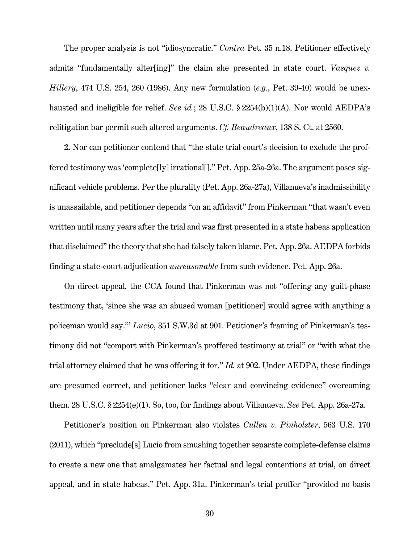<span id="page-36-3"></span>The proper analysis is not "idiosyncratic." *Contra* Pet. 35 n.18. Petitioner effectively admits "fundamentally alter<sup>[ing]"</sup> the claim she presented in state court. *Vasquez v. Hillery*, 474 U.S. 254, 260 (1986). Any new formulation (*e.g.*, Pet. 39-40) would be unexhausted and ineligible for relief. *See id.*; 28 U.S.C. § 2254(b)(1)(A). Nor would AEDPA's relitigation bar permit such altered arguments. *Cf. Beaudreaux*, 138 S. Ct. at 2560.

<span id="page-36-4"></span><span id="page-36-2"></span>**2.** Nor can petitioner contend that "the state trial court's decision to exclude the proffered testimony was 'complete[ly] irrational[]." Pet. App. 25a-26a. The argument poses significant vehicle problems. Per the plurality (Pet. App. 26a-27a), Villanueva's inadmissibility is unassailable, and petitioner depends "on an affidavit" from Pinkerman "that wasn't even written until many years after the trial and was first presented in a state habeas application that disclaimed" the theory that she had falsely taken blame. Pet. App. 26a. AEDPA forbids finding a state-court adjudication *unreasonable* from such evidence. Pet. App. 26a.

<span id="page-36-1"></span>On direct appeal, the CCA found that Pinkerman was not "offering any guilt-phase testimony that, 'since she was an abused woman [petitioner] would agree with anything a policeman would say.'" *Lucio*, 351 S.W.3d at 901. Petitioner's framing of Pinkerman's testimony did not "comport with Pinkerman's proffered testimony at trial" or "with what the trial attorney claimed that he was offering it for." *Id.* at 902. Under AEDPA, these findings are presumed correct, and petitioner lacks "clear and convincing evidence" overcoming them. 28 U.S.C. § 2254(e)(1). So, too, for findings about Villanueva. *See* Pet. App. 26a-27a.

<span id="page-36-5"></span><span id="page-36-0"></span>Petitioner's position on Pinkerman also violates *Cullen v. Pinholster*, 563 U.S. 170 (2011), which "preclude[s] Lucio from smushing together separate complete-defense claims to create a new one that amalgamates her factual and legal contentions at trial, on direct appeal, and in state habeas." Pet. App. 31a. Pinkerman's trial proffer "provided no basis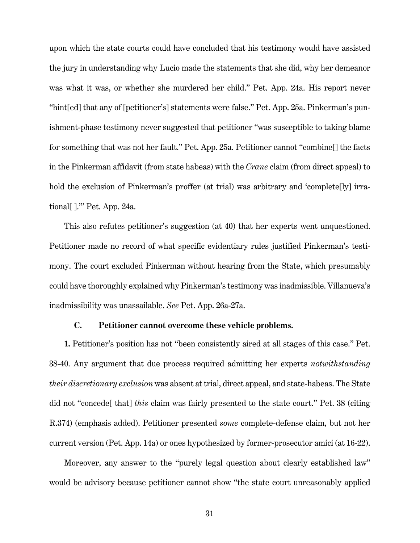upon which the state courts could have concluded that his testimony would have assisted the jury in understanding why Lucio made the statements that she did, why her demeanor was what it was, or whether she murdered her child." Pet. App. 24a. His report never "hint[ed] that any of [petitioner's] statements were false." Pet. App. 25a. Pinkerman's punishment-phase testimony never suggested that petitioner "was susceptible to taking blame for something that was not her fault." Pet. App. 25a. Petitioner cannot "combine[] the facts in the Pinkerman affidavit (from state habeas) with the *Crane* claim (from direct appeal) to hold the exclusion of Pinkerman's proffer (at trial) was arbitrary and 'complete[ly] irrational[ ].'" Pet. App. 24a.

This also refutes petitioner's suggestion (at 40) that her experts went unquestioned. Petitioner made no record of what specific evidentiary rules justified Pinkerman's testimony. The court excluded Pinkerman without hearing from the State, which presumably could have thoroughly explained why Pinkerman's testimony was inadmissible. Villanueva's inadmissibility was unassailable. *See* Pet. App. 26a-27a.

# **C. Petitioner cannot overcome these vehicle problems.**

<span id="page-37-0"></span>**1.** Petitioner's position has not "been consistently aired at all stages of this case." Pet. 38-40. Any argument that due process required admitting her experts *notwithstanding their discretionary exclusion* was absent at trial, direct appeal, and state-habeas. The State did not "concede[ that] *this* claim was fairly presented to the state court." Pet. 38 (citing R.374) (emphasis added). Petitioner presented *some* complete-defense claim, but not her current version (Pet. App. 14a) or ones hypothesized by former-prosecutor amici (at 16-22).

Moreover, any answer to the "purely legal question about clearly established law" would be advisory because petitioner cannot show "the state court unreasonably applied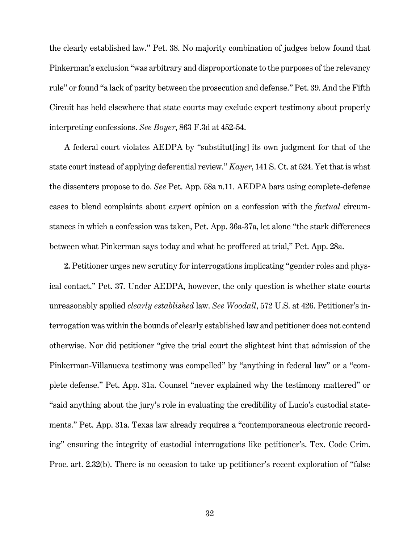the clearly established law." Pet. 38. No majority combination of judges below found that Pinkerman's exclusion "was arbitrary and disproportionate to the purposes of the relevancy rule" or found "a lack of parity between the prosecution and defense." Pet. 39. And the Fifth Circuit has held elsewhere that state courts may exclude expert testimony about properly interpreting confessions. *See Boyer*, 863 F.3d at 452-54.

<span id="page-38-1"></span><span id="page-38-0"></span>A federal court violates AEDPA by "substitut[ing] its own judgment for that of the state court instead of applying deferential review." *Kayer*, 141 S. Ct. at 524. Yet that is what the dissenters propose to do. *See* Pet. App. 58a n.11. AEDPA bars using complete-defense cases to blend complaints about *expert* opinion on a confession with the *factual* circumstances in which a confession was taken, Pet. App. 36a-37a, let alone "the stark differences between what Pinkerman says today and what he proffered at trial," Pet. App. 28a.

<span id="page-38-2"></span>**2.** Petitioner urges new scrutiny for interrogations implicating "gender roles and physical contact." Pet. 37. Under AEDPA, however, the only question is whether state courts unreasonably applied *clearly established* law. *See Woodall*, 572 U.S. at 426. Petitioner's interrogation was within the bounds of clearly established law and petitioner does not contend otherwise. Nor did petitioner "give the trial court the slightest hint that admission of the Pinkerman-Villanueva testimony was compelled" by "anything in federal law" or a "complete defense." Pet. App. 31a. Counsel "never explained why the testimony mattered" or "said anything about the jury's role in evaluating the credibility of Lucio's custodial statements." Pet. App. 31a. Texas law already requires a "contemporaneous electronic recording" ensuring the integrity of custodial interrogations like petitioner's. Tex. Code Crim. Proc. art. 2.32(b). There is no occasion to take up petitioner's recent exploration of "false